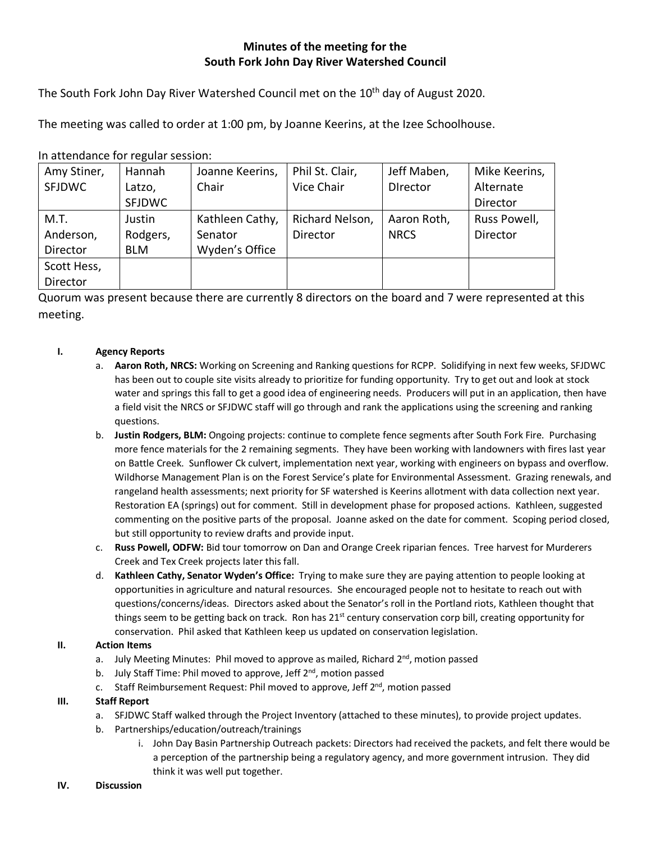# **Minutes of the meeting for the South Fork John Day River Watershed Council**

The South Fork John Day River Watershed Council met on the 10<sup>th</sup> day of August 2020.

The meeting was called to order at 1:00 pm, by Joanne Keerins, at the Izee Schoolhouse.

In attendance for regular session:

| Amy Stiner,   | Hannah        | Joanne Keerins, | Phil St. Clair, | Jeff Maben,     | Mike Keerins, |
|---------------|---------------|-----------------|-----------------|-----------------|---------------|
| <b>SFJDWC</b> | Latzo,        | Chair           | Vice Chair      | <b>Director</b> | Alternate     |
|               | <b>SFJDWC</b> |                 |                 |                 | Director      |
| M.T.          | Justin        | Kathleen Cathy, | Richard Nelson, | Aaron Roth,     | Russ Powell,  |
| Anderson,     | Rodgers,      | Senator         | Director        | <b>NRCS</b>     | Director      |
| Director      | <b>BLM</b>    | Wyden's Office  |                 |                 |               |
| Scott Hess,   |               |                 |                 |                 |               |
| Director      |               |                 |                 |                 |               |

Quorum was present because there are currently 8 directors on the board and 7 were represented at this meeting.

### **I. Agency Reports**

- a. **Aaron Roth, NRCS:** Working on Screening and Ranking questions for RCPP. Solidifying in next few weeks, SFJDWC has been out to couple site visits already to prioritize for funding opportunity. Try to get out and look at stock water and springs this fall to get a good idea of engineering needs. Producers will put in an application, then have a field visit the NRCS or SFJDWC staff will go through and rank the applications using the screening and ranking questions.
- b. **Justin Rodgers, BLM:** Ongoing projects: continue to complete fence segments after South Fork Fire. Purchasing more fence materials for the 2 remaining segments. They have been working with landowners with fires last year on Battle Creek. Sunflower Ck culvert, implementation next year, working with engineers on bypass and overflow. Wildhorse Management Plan is on the Forest Service's plate for Environmental Assessment. Grazing renewals, and rangeland health assessments; next priority for SF watershed is Keerins allotment with data collection next year. Restoration EA (springs) out for comment. Still in development phase for proposed actions. Kathleen, suggested commenting on the positive parts of the proposal. Joanne asked on the date for comment. Scoping period closed, but still opportunity to review drafts and provide input.
- c. **Russ Powell, ODFW:** Bid tour tomorrow on Dan and Orange Creek riparian fences. Tree harvest for Murderers Creek and Tex Creek projects later this fall.
- d. **Kathleen Cathy, Senator Wyden's Office:** Trying to make sure they are paying attention to people looking at opportunities in agriculture and natural resources. She encouraged people not to hesitate to reach out with questions/concerns/ideas. Directors asked about the Senator's roll in the Portland riots, Kathleen thought that things seem to be getting back on track. Ron has  $21<sup>st</sup>$  century conservation corp bill, creating opportunity for conservation. Phil asked that Kathleen keep us updated on conservation legislation.

### **II. Action Items**

- a. July Meeting Minutes: Phil moved to approve as mailed, Richard  $2<sup>nd</sup>$ , motion passed
- b. July Staff Time: Phil moved to approve, Jeff  $2^{nd}$ , motion passed
- c. Staff Reimbursement Request: Phil moved to approve, Jeff 2<sup>nd</sup>, motion passed

### **III. Staff Report**

- a. SFJDWC Staff walked through the Project Inventory (attached to these minutes), to provide project updates.
- b. Partnerships/education/outreach/trainings
	- i. John Day Basin Partnership Outreach packets: Directors had received the packets, and felt there would be a perception of the partnership being a regulatory agency, and more government intrusion. They did think it was well put together.

#### **IV. Discussion**